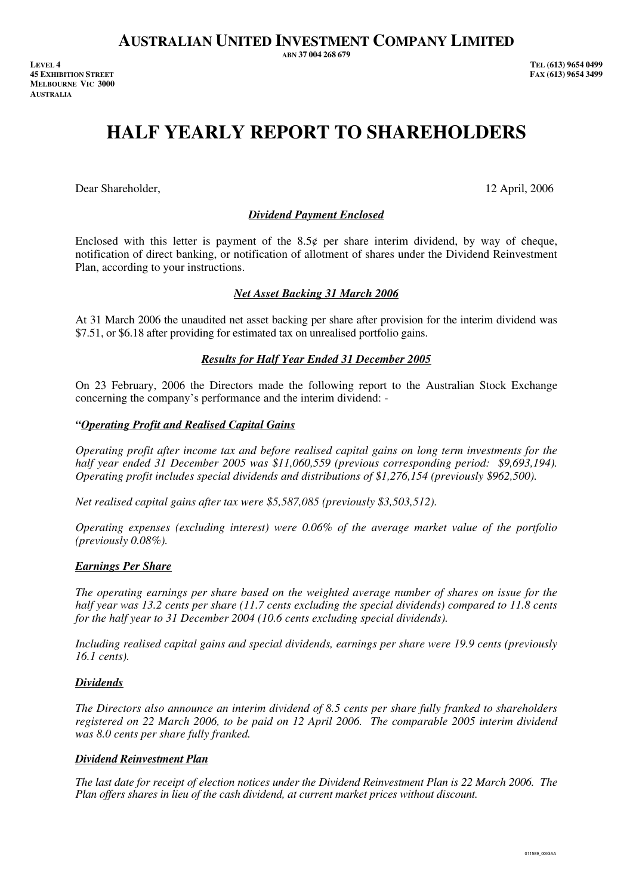# **HALF YEARLY REPORT TO SHAREHOLDERS**

Dear Shareholder, 12 April, 2006

# *Dividend Payment Enclosed*

Enclosed with this letter is payment of the  $8.5¢$  per share interim dividend, by way of cheque, notification of direct banking, or notification of allotment of shares under the Dividend Reinvestment Plan, according to your instructions.

## *Net Asset Backing 31 March 2006*

At 31 March 2006 the unaudited net asset backing per share after provision for the interim dividend was \$7.51, or \$6.18 after providing for estimated tax on unrealised portfolio gains.

## *Results for Half Year Ended 31 December 2005*

On 23 February, 2006 the Directors made the following report to the Australian Stock Exchange concerning the company's performance and the interim dividend: -

#### *"Operating Profit and Realised Capital Gains*

*Operating profit after income tax and before realised capital gains on long term investments for the half year ended 31 December 2005 was \$11,060,559 (previous corresponding period: \$9,693,194). Operating profit includes special dividends and distributions of \$1,276,154 (previously \$962,500).* 

*Net realised capital gains after tax were \$5,587,085 (previously \$3,503,512).* 

*Operating expenses (excluding interest) were 0.06% of the average market value of the portfolio (previously 0.08%).* 

## *Earnings Per Share*

*The operating earnings per share based on the weighted average number of shares on issue for the half year was 13.2 cents per share (11.7 cents excluding the special dividends) compared to 11.8 cents for the half year to 31 December 2004 (10.6 cents excluding special dividends).* 

*Including realised capital gains and special dividends, earnings per share were 19.9 cents (previously 16.1 cents).* 

## *Dividends*

*The Directors also announce an interim dividend of 8.5 cents per share fully franked to shareholders registered on 22 March 2006, to be paid on 12 April 2006. The comparable 2005 interim dividend was 8.0 cents per share fully franked.* 

#### *Dividend Reinvestment Plan*

*The last date for receipt of election notices under the Dividend Reinvestment Plan is 22 March 2006. The Plan offers shares in lieu of the cash dividend, at current market prices without discount.*